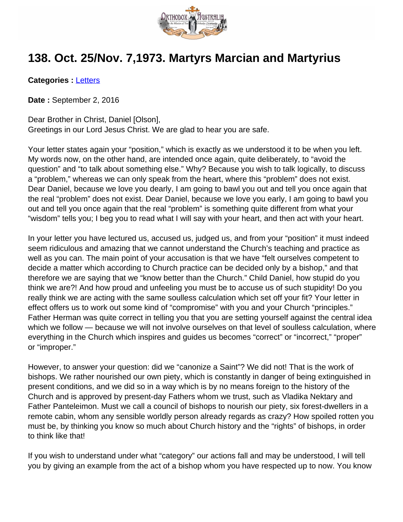

## **138. Oct. 25/Nov. 7,1973. Martyrs Marcian and Martyrius**

**Categories :** [Letters](http://orthodoxaustralia.org/category/letters/)

**Date :** September 2, 2016

Dear Brother in Christ, Daniel [Olson], Greetings in our Lord Jesus Christ. We are glad to hear you are safe.

Your letter states again your "position," which is exactly as we understood it to be when you left. My words now, on the other hand, are intended once again, quite deliberately, to "avoid the question" and "to talk about something else." Why? Because you wish to talk logically, to discuss a "problem," whereas we can only speak from the heart, where this "problem" does not exist. Dear Daniel, because we love you dearly, I am going to bawl you out and tell you once again that the real "problem" does not exist. Dear Daniel, because we love you early, I am going to bawl you out and tell you once again that the real "problem" is something quite different from what your "wisdom" tells you; I beg you to read what I will say with your heart, and then act with your heart.

In your letter you have lectured us, accused us, judged us, and from your "position" it must indeed seem ridiculous and amazing that we cannot understand the Church's teaching and practice as well as you can. The main point of your accusation is that we have "felt ourselves competent to decide a matter which according to Church practice can be decided only by a bishop," and that therefore we are saying that we "know better than the Church." Child Daniel, how stupid do you think we are?! And how proud and unfeeling you must be to accuse us of such stupidity! Do you really think we are acting with the same soulless calculation which set off your fit? Your letter in effect offers us to work out some kind of "compromise" with you and your Church "principles." Father Herman was quite correct in telling you that you are setting yourself against the central idea which we follow — because we will not involve ourselves on that level of soulless calculation, where everything in the Church which inspires and guides us becomes "correct" or "incorrect," "proper" or "improper."

However, to answer your question: did we "canonize a Saint"? We did not! That is the work of bishops. We rather nourished our own piety, which is constantly in danger of being extinguished in present conditions, and we did so in a way which is by no means foreign to the history of the Church and is approved by present-day Fathers whom we trust, such as Vladika Nektary and Father Panteleimon. Must we call a council of bishops to nourish our piety, six forest-dwellers in a remote cabin, whom any sensible worldly person already regards as crazy? How spoiled rotten you must be, by thinking you know so much about Church history and the "rights" of bishops, in order to think like that!

If you wish to understand under what "category" our actions fall and may be understood, I will tell you by giving an example from the act of a bishop whom you have respected up to now. You know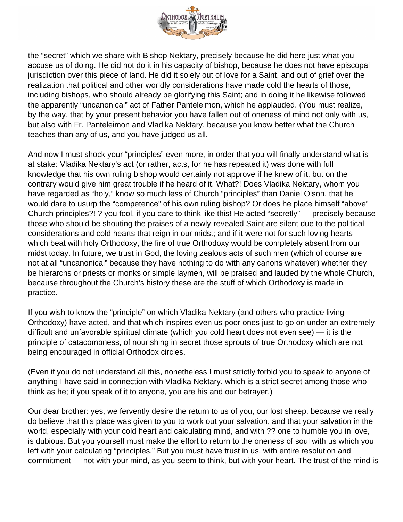

the "secret" which we share with Bishop Nektary, precisely because he did here just what you accuse us of doing. He did not do it in his capacity of bishop, because he does not have episcopal jurisdiction over this piece of land. He did it solely out of love for a Saint, and out of grief over the realization that political and other worldly considerations have made cold the hearts of those, including bishops, who should already be glorifying this Saint; and in doing it he likewise followed the apparently "uncanonical" act of Father Panteleimon, which he applauded. (You must realize, by the way, that by your present behavior you have fallen out of oneness of mind not only with us, but also with Fr. Panteleimon and Vladika Nektary, because you know better what the Church teaches than any of us, and you have judged us all.

And now I must shock your "principles" even more, in order that you will finally understand what is at stake: Vladika Nektary's act (or rather, acts, for he has repeated it) was done with full knowledge that his own ruling bishop would certainly not approve if he knew of it, but on the contrary would give him great trouble if he heard of it. What?! Does Vladika Nektary, whom you have regarded as "holy," know so much less of Church "principles" than Daniel Olson, that he would dare to usurp the "competence" of his own ruling bishop? Or does he place himself "above" Church principles?! ? you fool, if you dare to think like this! He acted "secretly" — precisely because those who should be shouting the praises of a newly-revealed Saint are silent due to the political considerations and cold hearts that reign in our midst; and if it were not for such loving hearts which beat with holy Orthodoxy, the fire of true Orthodoxy would be completely absent from our midst today. In future, we trust in God, the loving zealous acts of such men (which of course are not at all "uncanonical" because they have nothing to do with any canons whatever) whether they be hierarchs or priests or monks or simple laymen, will be praised and lauded by the whole Church, because throughout the Church's history these are the stuff of which Orthodoxy is made in practice.

If you wish to know the "principle" on which Vladika Nektary (and others who practice living Orthodoxy) have acted, and that which inspires even us poor ones just to go on under an extremely difficult and unfavorable spiritual climate (which you cold heart does not even see) — it is the principle of catacombness, of nourishing in secret those sprouts of true Orthodoxy which are not being encouraged in official Orthodox circles.

(Even if you do not understand all this, nonetheless I must strictly forbid you to speak to anyone of anything I have said in connection with Vladika Nektary, which is a strict secret among those who think as he; if you speak of it to anyone, you are his and our betrayer.)

Our dear brother: yes, we fervently desire the return to us of you, our lost sheep, because we really do believe that this place was given to you to work out your salvation, and that your salvation in the world, especially with your cold heart and calculating mind, and with ?? one to humble you in love, is dubious. But you yourself must make the effort to return to the oneness of soul with us which you left with your calculating "principles." But you must have trust in us, with entire resolution and commitment — not with your mind, as you seem to think, but with your heart. The trust of the mind is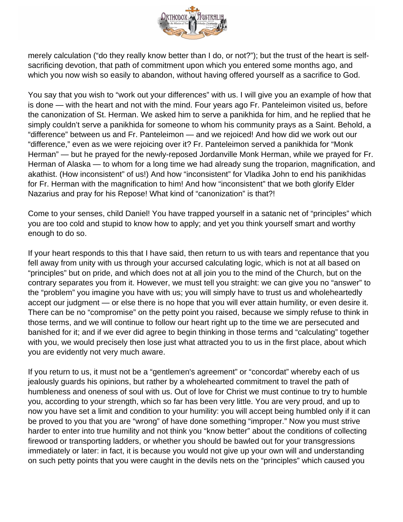

merely calculation ("do they really know better than I do, or not?"); but the trust of the heart is selfsacrificing devotion, that path of commitment upon which you entered some months ago, and which you now wish so easily to abandon, without having offered yourself as a sacrifice to God.

You say that you wish to "work out your differences" with us. I will give you an example of how that is done — with the heart and not with the mind. Four years ago Fr. Panteleimon visited us, before the canonization of St. Herman. We asked him to serve a panikhida for him, and he replied that he simply couldn't serve a panikhida for someone to whom his community prays as a Saint. Behold, a "difference" between us and Fr. Panteleimon — and we rejoiced! And how did we work out our "difference," even as we were rejoicing over it? Fr. Panteleimon served a panikhida for "Monk Herman" — but he prayed for the newly-reposed Jordanville Monk Herman, while we prayed for Fr. Herman of Alaska — to whom for a long time we had already sung the troparion, magnification, and akathist. (How inconsistent" of us!) And how "inconsistent" for Vladika John to end his panikhidas for Fr. Herman with the magnification to him! And how "inconsistent" that we both glorify Elder Nazarius and pray for his Repose! What kind of "canonization" is that?!

Come to your senses, child Daniel! You have trapped yourself in a satanic net of "principles" which you are too cold and stupid to know how to apply; and yet you think yourself smart and worthy enough to do so.

If your heart responds to this that I have said, then return to us with tears and repentance that you fell away from unity with us through your accursed calculating logic, which is not at all based on "principles" but on pride, and which does not at all join you to the mind of the Church, but on the contrary separates you from it. However, we must tell you straight: we can give you no "answer" to the "problem" you imagine you have with us; you will simply have to trust us and wholeheartedly accept our judgment — or else there is no hope that you will ever attain humility, or even desire it. There can be no "compromise" on the petty point you raised, because we simply refuse to think in those terms, and we will continue to follow our heart right up to the time we are persecuted and banished for it; and if we ever did agree to begin thinking in those terms and "calculating" together with you, we would precisely then lose just what attracted you to us in the first place, about which you are evidently not very much aware.

If you return to us, it must not be a "gentlemen's agreement" or "concordat" whereby each of us jealously guards his opinions, but rather by a wholehearted commitment to travel the path of humbleness and oneness of soul with us. Out of love for Christ we must continue to try to humble you, according to your strength, which so far has been very little. You are very proud, and up to now you have set a limit and condition to your humility: you will accept being humbled only if it can be proved to you that you are "wrong" of have done something "improper." Now you must strive harder to enter into true humility and not think you "know better" about the conditions of collecting firewood or transporting ladders, or whether you should be bawled out for your transgressions immediately or later: in fact, it is because you would not give up your own will and understanding on such petty points that you were caught in the devils nets on the "principles" which caused you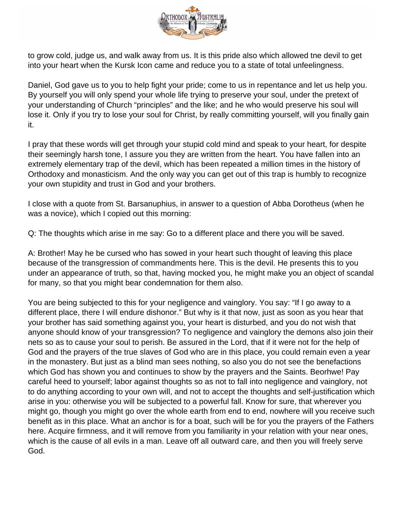

to grow cold, judge us, and walk away from us. It is this pride also which allowed tne devil to get into your heart when the Kursk Icon came and reduce you to a state of total unfeelingness.

Daniel, God gave us to you to help fight your pride; come to us in repentance and let us help you. By yourself you will only spend your whole life trying to preserve your soul, under the pretext of your understanding of Church "principles" and the like; and he who would preserve his soul will lose it. Only if you try to lose your soul for Christ, by really committing yourself, will you finally gain it.

I pray that these words will get through your stupid cold mind and speak to your heart, for despite their seemingly harsh tone, I assure you they are written from the heart. You have fallen into an extremely elementary trap of the devil, which has been repeated a million times in the history of Orthodoxy and monasticism. And the only way you can get out of this trap is humbly to recognize your own stupidity and trust in God and your brothers.

I close with a quote from St. Barsanuphius, in answer to a question of Abba Dorotheus (when he was a novice), which I copied out this morning:

Q: The thoughts which arise in me say: Go to a different place and there you will be saved.

A: Brother! May he be cursed who has sowed in your heart such thought of leaving this place because of the transgression of commandments here. This is the devil. He presents this to you under an appearance of truth, so that, having mocked you, he might make you an object of scandal for many, so that you might bear condemnation for them also.

You are being subjected to this for your negligence and vainglory. You say: "If I go away to a different place, there I will endure dishonor." But why is it that now, just as soon as you hear that your brother has said something against you, your heart is disturbed, and you do not wish that anyone should know of your transgression? To negligence and vainglory the demons also join their nets so as to cause your soul to perish. Be assured in the Lord, that if it were not for the help of God and the prayers of the true slaves of God who are in this place, you could remain even a year in the monastery. But just as a blind man sees nothing, so also you do not see the benefactions which God has shown you and continues to show by the prayers and the Saints. Beorhwe! Pay careful heed to yourself; labor against thoughts so as not to fall into negligence and vainglory, not to do anything according to your own will, and not to accept the thoughts and self-justification which arise in you: otherwise you will be subjected to a powerful fall. Know for sure, that wherever you might go, though you might go over the whole earth from end to end, nowhere will you receive such benefit as in this place. What an anchor is for a boat, such will be for you the prayers of the Fathers here. Acquire firmness, and it will remove from you familiarity in your relation with your near ones, which is the cause of all evils in a man. Leave off all outward care, and then you will freely serve God.